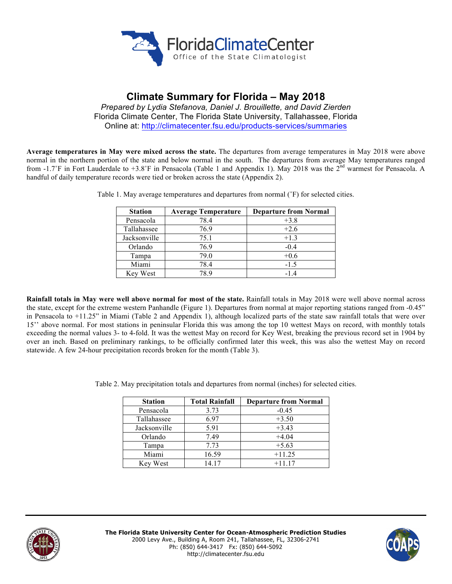

# **Climate Summary for Florida – May 2018**

*Prepared by Lydia Stefanova, Daniel J. Brouillette, and David Zierden* Florida Climate Center, The Florida State University, Tallahassee, Florida Online at: http://climatecenter.fsu.edu/products-services/summaries

**Average temperatures in May were mixed across the state.** The departures from average temperatures in May 2018 were above normal in the northern portion of the state and below normal in the south. The departures from average May temperatures ranged from -1.7°F in Fort Lauderdale to +3.8°F in Pensacola (Table 1 and Appendix 1). May 2018 was the 2<sup>nd</sup> warmest for Pensacola. A handful of daily temperature records were tied or broken across the state (Appendix 2).

| <b>Station</b> | <b>Average Temperature</b> | <b>Departure from Normal</b> |
|----------------|----------------------------|------------------------------|
| Pensacola      | 78.4                       | $+3.8$                       |
| Tallahassee    | 76.9                       | $+2.6$                       |
| Jacksonville   | 75.1                       | $+1.3$                       |
| Orlando        | 76.9                       | $-0.4$                       |
| Tampa          | 79.0                       | $+0.6$                       |
| Miami          | 78.4                       | $-1.5$                       |
| Key West       | 789                        | $-14$                        |

Table 1. May average temperatures and departures from normal (˚F) for selected cities.

**Rainfall totals in May were well above normal for most of the state.** Rainfall totals in May 2018 were well above normal across the state, except for the extreme western Panhandle (Figure 1). Departures from normal at major reporting stations ranged from -0.45" in Pensacola to +11.25" in Miami (Table 2 and Appendix 1), although localized parts of the state saw rainfall totals that were over 15'' above normal. For most stations in peninsular Florida this was among the top 10 wettest Mays on record, with monthly totals exceeding the normal values 3- to 4-fold. It was the wettest May on record for Key West, breaking the previous record set in 1904 by over an inch. Based on preliminary rankings, to be officially confirmed later this week, this was also the wettest May on record statewide. A few 24-hour precipitation records broken for the month (Table 3).

Table 2. May precipitation totals and departures from normal (inches) for selected cities.

| <b>Station</b> | <b>Total Rainfall</b> | <b>Departure from Normal</b> |
|----------------|-----------------------|------------------------------|
| Pensacola      | 3.73                  | $-0.45$                      |
| Tallahassee    | 6.97                  | $+3.50$                      |
| Jacksonville   | 5.91                  | $+3.43$                      |
| Orlando        | 7.49                  | $+4.04$                      |
| Tampa          | 7.73                  | $+5.63$                      |
| Miami          | 16.59                 | $+11.25$                     |
| Key West       | 14.17                 | $+11.17$                     |



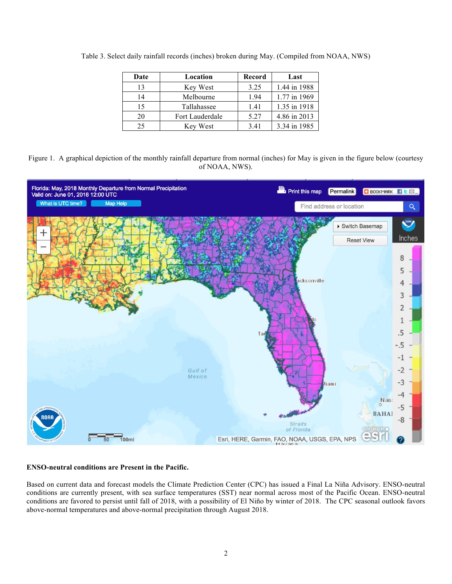| Date | Location        | Record | Last         |
|------|-----------------|--------|--------------|
| 13   | Key West        | 3.25   | 1.44 in 1988 |
| 14   | Melbourne       | 1.94   | 1.77 in 1969 |
| 15   | Tallahassee     | 1.41   | 1.35 in 1918 |
| 20   | Fort Lauderdale | 5.27   | 4.86 in 2013 |
| 25   | Key West        | 3.41   | 3.34 in 1985 |

Table 3. Select daily rainfall records (inches) broken during May. (Compiled from NOAA, NWS)





## **ENSO-neutral conditions are Present in the Pacific.**

Based on current data and forecast models the Climate Prediction Center (CPC) has issued a Final La Niña Advisory. ENSO-neutral conditions are currently present, with sea surface temperatures (SST) near normal across most of the Pacific Ocean. ENSO-neutral conditions are favored to persist until fall of 2018, with a possibility of El Niño by winter of 2018. The CPC seasonal outlook favors above-normal temperatures and above-normal precipitation through August 2018.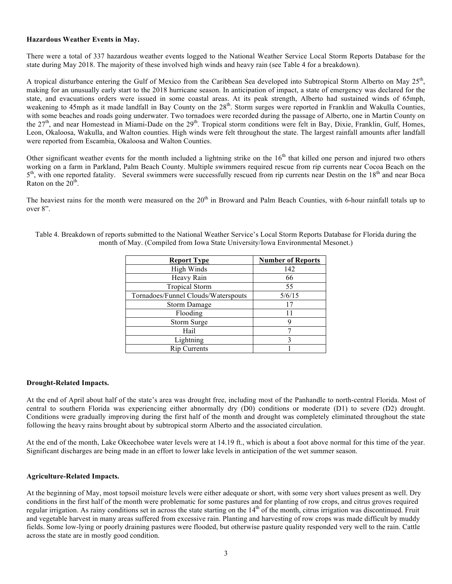## **Hazardous Weather Events in May.**

There were a total of 337 hazardous weather events logged to the National Weather Service Local Storm Reports Database for the state during May 2018. The majority of these involved high winds and heavy rain (see Table 4 for a breakdown).

A tropical disturbance entering the Gulf of Mexico from the Caribbean Sea developed into Subtropical Storm Alberto on May  $25<sup>th</sup>$ , making for an unusually early start to the 2018 hurricane season. In anticipation of impact, a state of emergency was declared for the state, and evacuations orders were issued in some coastal areas. At its peak strength, Alberto had sustained winds of 65mph, weakening to 45mph as it made landfall in Bay County on the 28<sup>th</sup>. Storm surges were reported in Franklin and Wakulla Counties, with some beaches and roads going underwater. Two tornadoes were recorded during the passage of Alberto, one in Martin County on the 27<sup>th</sup>, and near Homestead in Miami-Dade on the 29<sup>th</sup>. Tropical storm conditions were felt in Bay, Dixie, Franklin, Gulf, Homes, Leon, Okaloosa, Wakulla, and Walton counties. High winds were felt throughout the state. The largest rainfall amounts after landfall were reported from Escambia, Okaloosa and Walton Counties.

Other significant weather events for the month included a lightning strike on the  $16<sup>th</sup>$  that killed one person and injured two others working on a farm in Parkland, Palm Beach County. Multiple swimmers required rescue from rip currents near Cocoa Beach on the  $5<sup>th</sup>$ , with one reported fatality. Several swimmers were successfully rescued from rip currents near Destin on the 18<sup>th</sup> and near Boca Raton on the  $20<sup>th</sup>$ .

The heaviest rains for the month were measured on the  $20<sup>th</sup>$  in Broward and Palm Beach Counties, with 6-hour rainfall totals up to over 8".

| <b>Report Type</b>                  | <b>Number of Reports</b> |
|-------------------------------------|--------------------------|
| High Winds                          | 142                      |
| Heavy Rain                          | 66                       |
| <b>Tropical Storm</b>               | 55                       |
| Tornadoes/Funnel Clouds/Waterspouts | 5/6/15                   |
| Storm Damage                        | 17                       |
| Flooding                            | 11                       |
| Storm Surge                         |                          |
| Hail                                |                          |
| Lightning                           | 3                        |
| <b>Rip Currents</b>                 |                          |

Table 4. Breakdown of reports submitted to the National Weather Service's Local Storm Reports Database for Florida during the month of May. (Compiled from Iowa State University/Iowa Environmental Mesonet.)

### **Drought-Related Impacts.**

At the end of April about half of the state's area was drought free, including most of the Panhandle to north-central Florida. Most of central to southern Florida was experiencing either abnormally dry (D0) conditions or moderate (D1) to severe (D2) drought. Conditions were gradually improving during the first half of the month and drought was completely eliminated throughout the state following the heavy rains brought about by subtropical storm Alberto and the associated circulation.

At the end of the month, Lake Okeechobee water levels were at 14.19 ft., which is about a foot above normal for this time of the year. Significant discharges are being made in an effort to lower lake levels in anticipation of the wet summer season.

### **Agriculture-Related Impacts.**

At the beginning of May, most topsoil moisture levels were either adequate or short, with some very short values present as well. Dry conditions in the first half of the month were problematic for some pastures and for planting of row crops, and citrus groves required regular irrigation. As rainy conditions set in across the state starting on the 14<sup>th</sup> of the month, citrus irrigation was discontinued. Fruit and vegetable harvest in many areas suffered from excessive rain. Planting and harvesting of row crops was made difficult by muddy fields. Some low-lying or poorly draining pastures were flooded, but otherwise pasture quality responded very well to the rain. Cattle across the state are in mostly good condition.